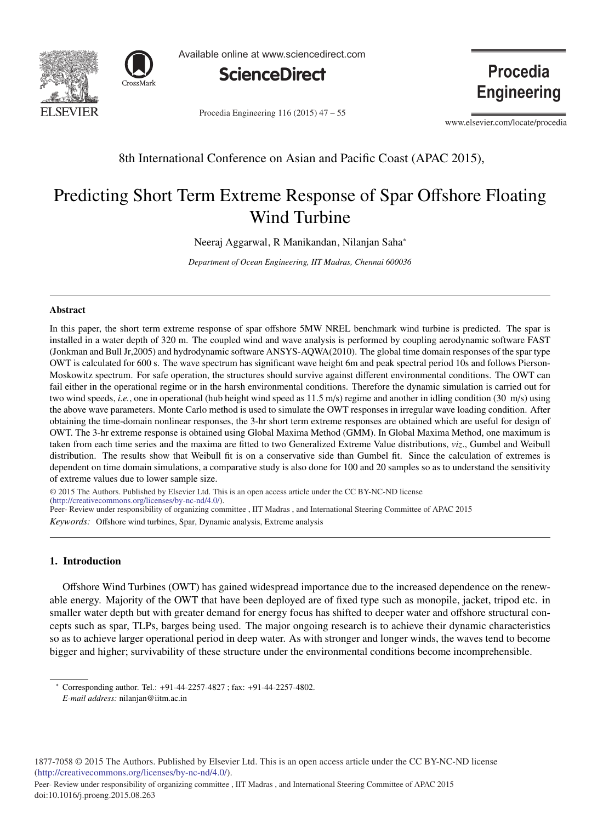



Available online at www.sciencedirect.com



Procedia Engineering  $116 (2015) 47 - 55$ 

**Procedia Engineering** 

www.elsevier.com/locate/procedia

8th International Conference on Asian and Pacific Coast (APAC 2015),

# Predicting Short Term Extreme Response of Spar Offshore Floating Wind Turbine

Neeraj Aggarwal, R Manikandan, Nilanjan Saha<sup>∗</sup>

*Department of Ocean Engineering, IIT Madras, Chennai 600036*

## Abstract

In this paper, the short term extreme response of spar offshore 5MW NREL benchmark wind turbine is predicted. The spar is installed in a water depth of 320 m. The coupled wind and wave analysis is performed by coupling aerodynamic software FAST (Jonkman and Bull Jr,2005) and hydrodynamic software ANSYS-AQWA(2010). The global time domain responses of the spar type OWT is calculated for 600 s. The wave spectrum has significant wave height 6m and peak spectral period 10s and follows Pierson-Moskowitz spectrum. For safe operation, the structures should survive against different environmental conditions. The OWT can fail either in the operational regime or in the harsh environmental conditions. Therefore the dynamic simulation is carried out for two wind speeds, *i.e.*, one in operational (hub height wind speed as 11.5 m/s) regime and another in idling condition (30 m/s) using the above wave parameters. Monte Carlo method is used to simulate the OWT responses in irregular wave loading condition. After obtaining the time-domain nonlinear responses, the 3-hr short term extreme responses are obtained which are useful for design of OWT. The 3-hr extreme response is obtained using Global Maxima Method (GMM). In Global Maxima Method, one maximum is taken from each time series and the maxima are fitted to two Generalized Extreme Value distributions, *viz*., Gumbel and Weibull distribution. The results show that Weibull fit is on a conservative side than Gumbel fit. Since the calculation of extremes is dependent on time domain simulations, a comparative study is also done for 100 and 20 samples so as to understand the sensitivity of extreme values due to lower sample size.

c 2015 The Authors. Published by Elsevier Ltd. © 2015 The Authors. Published by Elsevier Ltd. This is an open access article under the CC BY-NC-ND license (http://creativecommons.org/licenses/by-nc-nd/4.0/).<br>Peer- Review under responsibility of organizing committee , IIT Madras , and International Steering Committee of APAC 2015 *Keywords:* Offshore wind turbines, Spar, Dynamic analysis, Extreme analysis (http://creativecommons.org/licenses/by-nc-nd/4.0/).

# 1. Introduction

Offshore Wind Turbines (OWT) has gained widespread importance due to the increased dependence on the renewable energy. Majority of the OWT that have been deployed are of fixed type such as monopile, jacket, tripod etc. in smaller water depth but with greater demand for energy focus has shifted to deeper water and offshore structural concepts such as spar, TLPs, barges being used. The major ongoing research is to achieve their dynamic characteristics so as to achieve larger operational period in deep water. As with stronger and longer winds, the waves tend to become bigger and higher; survivability of these structure under the environmental conditions become incomprehensible.

<sup>∗</sup> Corresponding author. Tel.: +91-44-2257-4827 ; fax: +91-44-2257-4802. *E-mail address:* nilanjan@iitm.ac.in

<sup>1877-7058 © 2015</sup> The Authors. Published by Elsevier Ltd. This is an open access article under the CC BY-NC-ND license (http://creativecommons.org/licenses/by-nc-nd/4.0/).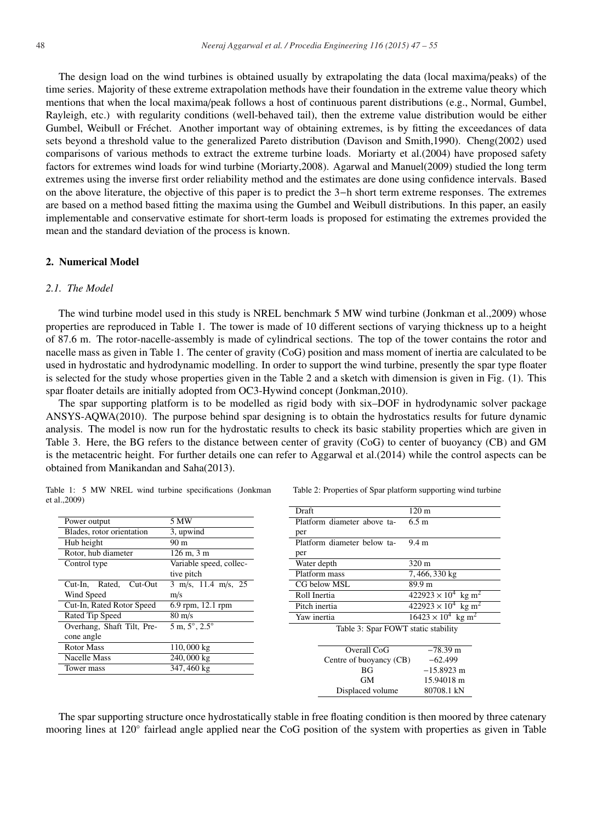The design load on the wind turbines is obtained usually by extrapolating the data (local maxima/peaks) of the time series. Majority of these extreme extrapolation methods have their foundation in the extreme value theory which mentions that when the local maxima/peak follows a host of continuous parent distributions (e.g., Normal, Gumbel, Rayleigh, etc.) with regularity conditions (well-behaved tail), then the extreme value distribution would be either Gumbel, Weibull or Fréchet. Another important way of obtaining extremes, is by fitting the exceedances of data sets beyond a threshold value to the generalized Pareto distribution (Davison and Smith,1990). Cheng(2002) used comparisons of various methods to extract the extreme turbine loads. Moriarty et al.(2004) have proposed safety factors for extremes wind loads for wind turbine (Moriarty,2008). Agarwal and Manuel(2009) studied the long term extremes using the inverse first order reliability method and the estimates are done using confidence intervals. Based on the above literature, the objective of this paper is to predict the 3−h short term extreme responses. The extremes are based on a method based fitting the maxima using the Gumbel and Weibull distributions. In this paper, an easily implementable and conservative estimate for short-term loads is proposed for estimating the extremes provided the mean and the standard deviation of the process is known.

# 2. Numerical Model

# *2.1. The Model*

The wind turbine model used in this study is NREL benchmark 5 MW wind turbine (Jonkman et al.,2009) whose properties are reproduced in Table 1. The tower is made of 10 different sections of varying thickness up to a height of 87.6 m. The rotor-nacelle-assembly is made of cylindrical sections. The top of the tower contains the rotor and nacelle mass as given in Table 1. The center of gravity (CoG) position and mass moment of inertia are calculated to be used in hydrostatic and hydrodynamic modelling. In order to support the wind turbine, presently the spar type floater is selected for the study whose properties given in the Table 2 and a sketch with dimension is given in Fig. (1). This spar floater details are initially adopted from OC3-Hywind concept (Jonkman,2010).

The spar supporting platform is to be modelled as rigid body with six–DOF in hydrodynamic solver package ANSYS-AQWA(2010). The purpose behind spar designing is to obtain the hydrostatics results for future dynamic analysis. The model is now run for the hydrostatic results to check its basic stability properties which are given in Table 3. Here, the BG refers to the distance between center of gravity (CoG) to center of buoyancy (CB) and GM is the metacentric height. For further details one can refer to Aggarwal et al.(2014) while the control aspects can be obtained from Manikandan and Saha(2013).

| Power output               | 5 MW                          |  |  |
|----------------------------|-------------------------------|--|--|
| Blades, rotor orientation  | 3, upwind                     |  |  |
| Hub height                 | 90 <sub>m</sub>               |  |  |
| Rotor, hub diameter        | $126 \text{ m}, 3 \text{ m}$  |  |  |
| Control type               | Variable speed, collec-       |  |  |
|                            | tive pitch                    |  |  |
| Cut-In. Rated.<br>Cut-Out  | 3 m/s, 11.4 m/s, 25           |  |  |
| Wind Speed                 | m/s                           |  |  |
| Cut-In, Rated Rotor Speed  | 6.9 rpm, 12.1 rpm             |  |  |
| Rated Tip Speed            | $80 \text{ m/s}$              |  |  |
| Overhang, Shaft Tilt, Pre- | $5 m, 5^{\circ}, 2.5^{\circ}$ |  |  |
| cone angle                 |                               |  |  |
| <b>Rotor Mass</b>          | 110,000 kg                    |  |  |
| <b>Nacelle Mass</b>        | 240,000 kg                    |  |  |
| Tower mass                 | $347,460 \,\mathrm{kg}$       |  |  |

Table 1: 5 MW NREL wind turbine specifications (Jonkman et al.,2009)

Table 2: Properties of Spar platform supporting wind turbine

| Draft                               |                         | 120 <sub>m</sub>                       |  |  |  |
|-------------------------------------|-------------------------|----------------------------------------|--|--|--|
| Platform diameter above ta-         |                         | 6.5 m                                  |  |  |  |
| per                                 |                         |                                        |  |  |  |
| Platform diameter below ta-         |                         | 9.4 <sub>m</sub>                       |  |  |  |
| per                                 |                         |                                        |  |  |  |
| Water depth                         |                         | 320 m                                  |  |  |  |
| Platform mass                       |                         | 7, 466, 330 kg                         |  |  |  |
| CG below MSL                        |                         | 89.9 m                                 |  |  |  |
| Roll Inertia                        |                         | $422923 \times 10^4$ kg m <sup>2</sup> |  |  |  |
| Pitch inertia                       |                         | $422923 \times 10^4$ kg m <sup>2</sup> |  |  |  |
| Yaw inertia                         |                         | $16423 \times 10^4$ kg m <sup>2</sup>  |  |  |  |
| Table 3: Spar FOWT static stability |                         |                                        |  |  |  |
|                                     |                         |                                        |  |  |  |
|                                     | Overall CoG             | –78.39 m                               |  |  |  |
|                                     | Centre of buoyancy (CB) | $-62.499$                              |  |  |  |
|                                     | ВG                      | $-15.8923$ m                           |  |  |  |
|                                     | GM                      | 15.94018 m                             |  |  |  |
|                                     | Displaced volume        | 80708.1 kN                             |  |  |  |
|                                     |                         |                                        |  |  |  |

The spar supporting structure once hydrostatically stable in free floating condition is then moored by three catenary mooring lines at 120◦ fairlead angle applied near the CoG position of the system with properties as given in Table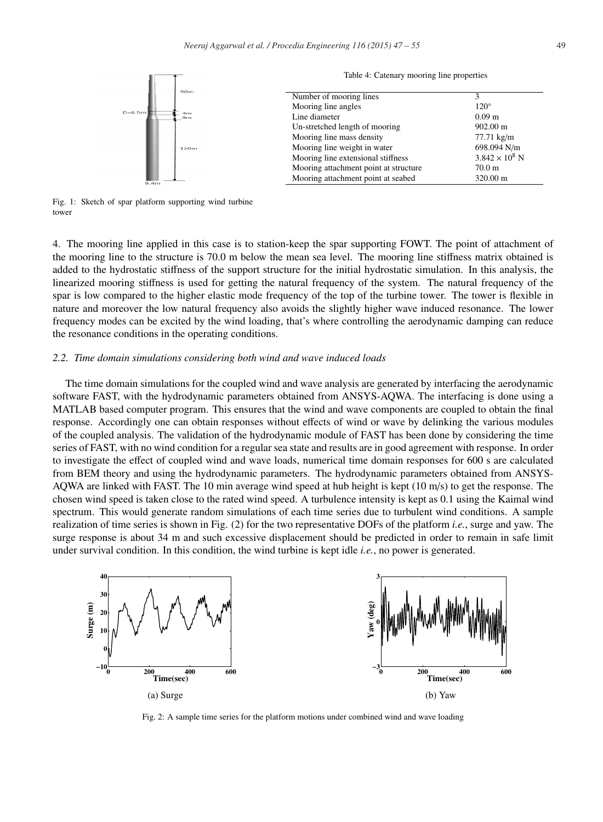

Fig. 1: Sketch of spar platform supporting wind turbine tower

4. The mooring line applied in this case is to station-keep the spar supporting FOWT. The point of attachment of the mooring line to the structure is 70.0 m below the mean sea level. The mooring line stiffness matrix obtained is added to the hydrostatic stiffness of the support structure for the initial hydrostatic simulation. In this analysis, the linearized mooring stiffness is used for getting the natural frequency of the system. The natural frequency of the spar is low compared to the higher elastic mode frequency of the top of the turbine tower. The tower is flexible in nature and moreover the low natural frequency also avoids the slightly higher wave induced resonance. The lower frequency modes can be excited by the wind loading, that's where controlling the aerodynamic damping can reduce the resonance conditions in the operating conditions.

## *2.2. Time domain simulations considering both wind and wave induced loads*

The time domain simulations for the coupled wind and wave analysis are generated by interfacing the aerodynamic software FAST, with the hydrodynamic parameters obtained from ANSYS-AQWA. The interfacing is done using a MATLAB based computer program. This ensures that the wind and wave components are coupled to obtain the final response. Accordingly one can obtain responses without effects of wind or wave by delinking the various modules of the coupled analysis. The validation of the hydrodynamic module of FAST has been done by considering the time series of FAST, with no wind condition for a regular sea state and results are in good agreement with response. In order to investigate the effect of coupled wind and wave loads, numerical time domain responses for 600 s are calculated from BEM theory and using the hydrodynamic parameters. The hydrodynamic parameters obtained from ANSYS-AQWA are linked with FAST. The 10 min average wind speed at hub height is kept (10 m/s) to get the response. The chosen wind speed is taken close to the rated wind speed. A turbulence intensity is kept as 0.1 using the Kaimal wind spectrum. This would generate random simulations of each time series due to turbulent wind conditions. A sample realization of time series is shown in Fig. (2) for the two representative DOFs of the platform *i.e.*, surge and yaw. The surge response is about 34 m and such excessive displacement should be predicted in order to remain in safe limit under survival condition. In this condition, the wind turbine is kept idle *i.e.*, no power is generated.



Fig. 2: A sample time series for the platform motions under combined wind and wave loading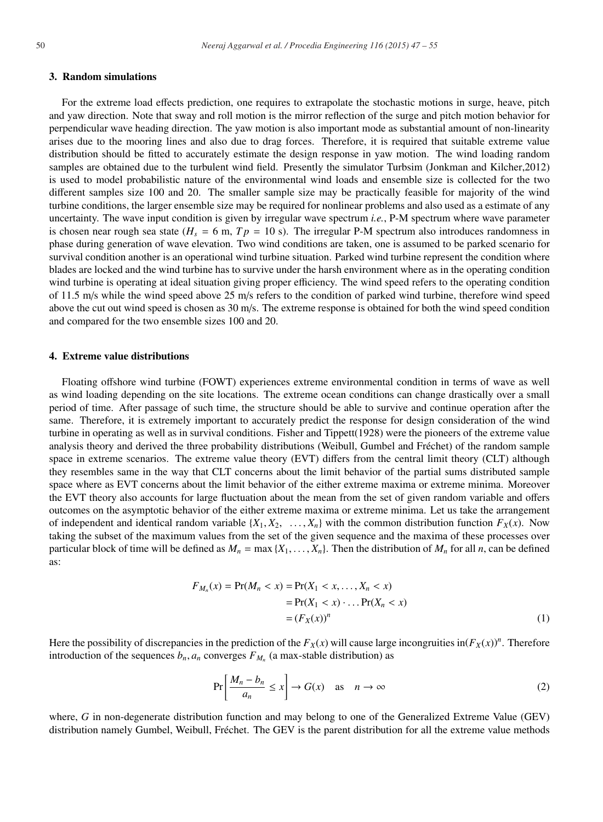### 3. Random simulations

For the extreme load effects prediction, one requires to extrapolate the stochastic motions in surge, heave, pitch and yaw direction. Note that sway and roll motion is the mirror reflection of the surge and pitch motion behavior for perpendicular wave heading direction. The yaw motion is also important mode as substantial amount of non-linearity arises due to the mooring lines and also due to drag forces. Therefore, it is required that suitable extreme value distribution should be fitted to accurately estimate the design response in yaw motion. The wind loading random samples are obtained due to the turbulent wind field. Presently the simulator Turbsim (Jonkman and Kilcher,2012) is used to model probabilistic nature of the environmental wind loads and ensemble size is collected for the two different samples size 100 and 20. The smaller sample size may be practically feasible for majority of the wind turbine conditions, the larger ensemble size may be required for nonlinear problems and also used as a estimate of any uncertainty. The wave input condition is given by irregular wave spectrum *i.e.*, P-M spectrum where wave parameter is chosen near rough sea state ( $H_s = 6$  m,  $Tp = 10$  s). The irregular P-M spectrum also introduces randomness in phase during generation of wave elevation. Two wind conditions are taken, one is assumed to be parked scenario for survival condition another is an operational wind turbine situation. Parked wind turbine represent the condition where blades are locked and the wind turbine has to survive under the harsh environment where as in the operating condition wind turbine is operating at ideal situation giving proper efficiency. The wind speed refers to the operating condition of 11.5 m/s while the wind speed above 25 m/s refers to the condition of parked wind turbine, therefore wind speed above the cut out wind speed is chosen as 30 m/s. The extreme response is obtained for both the wind speed condition and compared for the two ensemble sizes 100 and 20.

#### 4. Extreme value distributions

Floating offshore wind turbine (FOWT) experiences extreme environmental condition in terms of wave as well as wind loading depending on the site locations. The extreme ocean conditions can change drastically over a small period of time. After passage of such time, the structure should be able to survive and continue operation after the same. Therefore, it is extremely important to accurately predict the response for design consideration of the wind turbine in operating as well as in survival conditions. Fisher and Tippett(1928) were the pioneers of the extreme value analysis theory and derived the three probability distributions (Weibull, Gumbel and Fréchet) of the random sample space in extreme scenarios. The extreme value theory (EVT) differs from the central limit theory (CLT) although they resembles same in the way that CLT concerns about the limit behavior of the partial sums distributed sample space where as EVT concerns about the limit behavior of the either extreme maxima or extreme minima. Moreover the EVT theory also accounts for large fluctuation about the mean from the set of given random variable and offers outcomes on the asymptotic behavior of the either extreme maxima or extreme minima. Let us take the arrangement of independent and identical random variable  $\{X_1, X_2, \ldots, X_n\}$  with the common distribution function  $F_X(x)$ . Now taking the subset of the maximum values from the set of the given sequence and the maxima of these processes over particular block of time will be defined as  $M_n = \max\{X_1, \ldots, X_n\}$ . Then the distribution of  $M_n$  for all *n*, can be defined as:

$$
F_{M_n}(x) = \Pr(M_n < x) = \Pr(X_1 < x, \dots, X_n < x) \\
= \Pr(X_1 < x) \cdot \dots \Pr(X_n < x) \\
= (F_X(x))^n\n\tag{1}
$$

Here the possibility of discrepancies in the prediction of the  $F_X(x)$  will cause large incongruities in $(F_X(x))^n$ . Therefore introduction of the sequences  $b_n$ ,  $a_n$  converges  $F_{M_n}$  (a max-stable distribution) as

$$
\Pr\left[\frac{M_n - b_n}{a_n} \le x\right] \to G(x) \quad \text{as} \quad n \to \infty \tag{2}
$$

where, *G* in non-degenerate distribution function and may belong to one of the Generalized Extreme Value (GEV) distribution namely Gumbel, Weibull, Fréchet. The GEV is the parent distribution for all the extreme value methods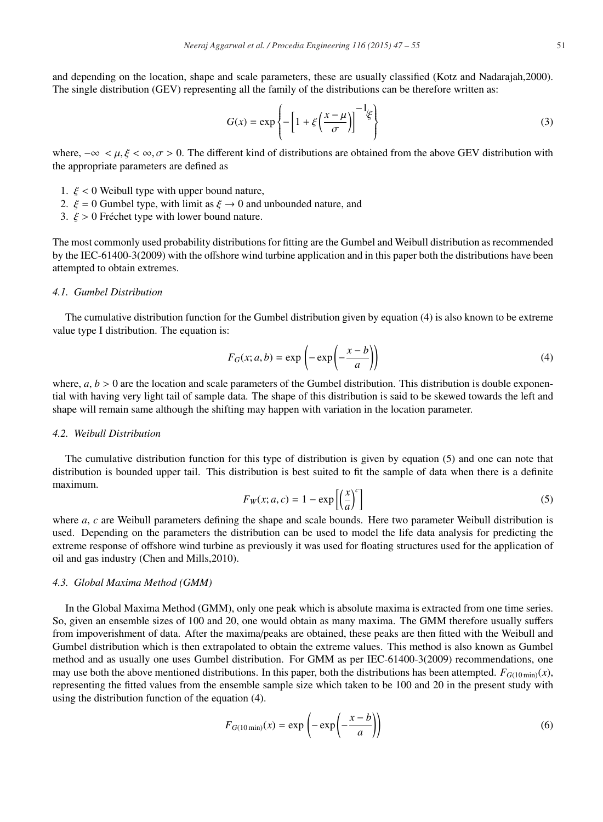and depending on the location, shape and scale parameters, these are usually classified (Kotz and Nadarajah,2000). The single distribution (GEV) representing all the family of the distributions can be therefore written as:

$$
G(x) = \exp\left\{-\left[1 + \xi \left(\frac{x-\mu}{\sigma}\right)\right]^{-1} \xi\right\} \tag{3}
$$

where,  $-\infty < \mu, \xi < \infty, \sigma > 0$ . The different kind of distributions are obtained from the above GEV distribution with the appropriate parameters are defined as

- 1.  $\xi$  < 0 Weibull type with upper bound nature,
- 2.  $\xi = 0$  Gumbel type, with limit as  $\xi \rightarrow 0$  and unbounded nature, and
- 3.  $\xi > 0$  Fréchet type with lower bound nature.

The most commonly used probability distributions for fitting are the Gumbel and Weibull distribution as recommended by the IEC-61400-3(2009) with the offshore wind turbine application and in this paper both the distributions have been attempted to obtain extremes.

## *4.1. Gumbel Distribution*

The cumulative distribution function for the Gumbel distribution given by equation (4) is also known to be extreme value type I distribution. The equation is:

$$
F_G(x; a, b) = \exp\left(-\exp\left(-\frac{x-b}{a}\right)\right) \tag{4}
$$

where,  $a, b > 0$  are the location and scale parameters of the Gumbel distribution. This distribution is double exponential with having very light tail of sample data. The shape of this distribution is said to be skewed towards the left and shape will remain same although the shifting may happen with variation in the location parameter.

#### *4.2. Weibull Distribution*

The cumulative distribution function for this type of distribution is given by equation (5) and one can note that distribution is bounded upper tail. This distribution is best suited to fit the sample of data when there is a definite maximum.

$$
F_W(x; a, c) = 1 - \exp\left[\left(\frac{x}{a}\right)^c\right] \tag{5}
$$

where *a*, *c* are Weibull parameters defining the shape and scale bounds. Here two parameter Weibull distribution is used. Depending on the parameters the distribution can be used to model the life data analysis for predicting the extreme response of offshore wind turbine as previously it was used for floating structures used for the application of oil and gas industry (Chen and Mills,2010).

#### *4.3. Global Maxima Method (GMM)*

In the Global Maxima Method (GMM), only one peak which is absolute maxima is extracted from one time series. So, given an ensemble sizes of 100 and 20, one would obtain as many maxima. The GMM therefore usually suffers from impoverishment of data. After the maxima/peaks are obtained, these peaks are then fitted with the Weibull and Gumbel distribution which is then extrapolated to obtain the extreme values. This method is also known as Gumbel method and as usually one uses Gumbel distribution. For GMM as per IEC-61400-3(2009) recommendations, one may use both the above mentioned distributions. In this paper, both the distributions has been attempted.  $F_{G(10 \text{ min})}(x)$ , representing the fitted values from the ensemble sample size which taken to be 100 and 20 in the present study with using the distribution function of the equation (4).

$$
F_{G(10\,\text{min})}(x) = \exp\left(-\exp\left(-\frac{x-b}{a}\right)\right) \tag{6}
$$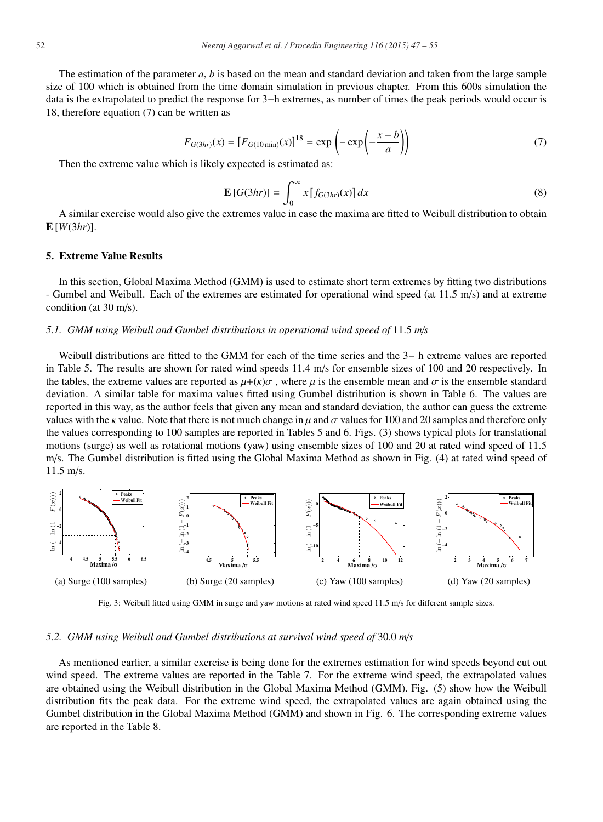The estimation of the parameter *a*, *b* is based on the mean and standard deviation and taken from the large sample size of 100 which is obtained from the time domain simulation in previous chapter. From this 600s simulation the data is the extrapolated to predict the response for 3−h extremes, as number of times the peak periods would occur is 18, therefore equation (7) can be written as

$$
F_{G(3hr)}(x) = [F_{G(10\min)}(x)]^{18} = \exp\left(-\exp\left(-\frac{x-b}{a}\right)\right)
$$
 (7)

Then the extreme value which is likely expected is estimated as:

$$
\mathbf{E}\left[G(3hr)\right] = \int_0^\infty x \left[f_{G(3hr)}(x)\right] dx\tag{8}
$$

A similar exercise would also give the extremes value in case the maxima are fitted to Weibull distribution to obtain  $E[W(3hr)]$ .

# 5. Extreme Value Results

In this section, Global Maxima Method (GMM) is used to estimate short term extremes by fitting two distributions - Gumbel and Weibull. Each of the extremes are estimated for operational wind speed (at 11.5 m/s) and at extreme condition (at 30 m/s).

#### *5.1. GMM using Weibull and Gumbel distributions in operational wind speed of* 11.5 *m*/*s*

Weibull distributions are fitted to the GMM for each of the time series and the 3− h extreme values are reported in Table 5. The results are shown for rated wind speeds 11.4 m/s for ensemble sizes of 100 and 20 respectively. In the tables, the extreme values are reported as  $\mu + (\kappa)\sigma$ , where  $\mu$  is the ensemble mean and  $\sigma$  is the ensemble standard deviation. A similar table for maxima values fitted using Gumbel distribution is shown in Table 6. The values are reported in this way, as the author feels that given any mean and standard deviation, the author can guess the extreme values with the *κ* value. Note that there is not much change in  $\mu$  and  $\sigma$  values for 100 and 20 samples and therefore only the values corresponding to 100 samples are reported in Tables 5 and 6. Figs. (3) shows typical plots for translational motions (surge) as well as rotational motions (yaw) using ensemble sizes of 100 and 20 at rated wind speed of 11.5 m/s. The Gumbel distribution is fitted using the Global Maxima Method as shown in Fig. (4) at rated wind speed of 11.5 m/s.



Fig. 3: Weibull fitted using GMM in surge and yaw motions at rated wind speed 11.5 m/s for different sample sizes.

#### *5.2. GMM using Weibull and Gumbel distributions at survival wind speed of* 30.0 *m*/*s*

As mentioned earlier, a similar exercise is being done for the extremes estimation for wind speeds beyond cut out wind speed. The extreme values are reported in the Table 7. For the extreme wind speed, the extrapolated values are obtained using the Weibull distribution in the Global Maxima Method (GMM). Fig. (5) show how the Weibull distribution fits the peak data. For the extreme wind speed, the extrapolated values are again obtained using the Gumbel distribution in the Global Maxima Method (GMM) and shown in Fig. 6. The corresponding extreme values are reported in the Table 8.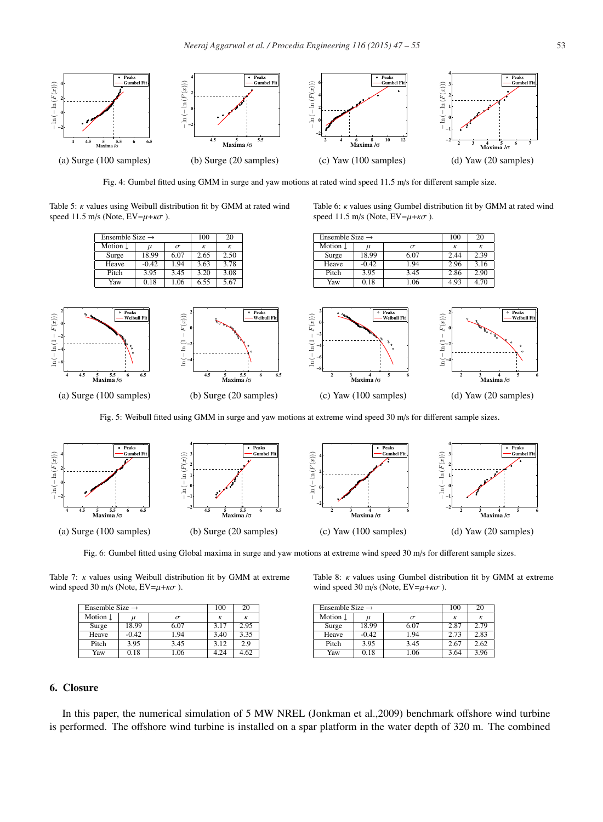

Fig. 4: Gumbel fitted using GMM in surge and yaw motions at rated wind speed 11.5 m/s for different sample size.

Table 5: κ values using Weibull distribution fit by GMM at rated wind speed 11.5 m/s (Note,  $EV=\mu+\kappa\sigma$ ).

Table 6: κ values using Gumbel distribution fit by GMM at rated wind speed 11.5 m/s (Note,  $EV=\mu+\kappa\sigma$ ).



Fig. 5: Weibull fitted using GMM in surge and yaw motions at extreme wind speed 30 m/s for different sample sizes.



Fig. 6: Gumbel fitted using Global maxima in surge and yaw motions at extreme wind speed 30 m/s for different sample sizes.

Table 7: κ values using Weibull distribution fit by GMM at extreme wind speed 30 m/s (Note,  $EV=\mu+\kappa\sigma$ ).

| Ensemble Size $\rightarrow$ |         |          | 100  | 20   |
|-----------------------------|---------|----------|------|------|
| Motion $\downarrow$         | $\mu$   | $\sigma$ |      | к    |
| Surge                       | 18.99   | 6.07     | 3.17 | 2.95 |
| Heave                       | $-0.42$ | 1.94     | 3.40 | 3.35 |
| Pitch                       | 3.95    | 3.45     | 3.12 | 2.9  |
| Yaw                         | 0.18    | 1.06     | 4.24 | 4.62 |

Table 8:  $\kappa$  values using Gumbel distribution fit by GMM at extreme wind speed 30 m/s (Note,  $EV=\mu+\kappa\sigma$ ).

| Ensemble Size $\rightarrow$ |         |          | 100  | 20   |
|-----------------------------|---------|----------|------|------|
| Motion 1.                   | μ       | $\sigma$ | К    |      |
| Surge                       | 18.99   | 6.07     | 2.87 | 2.79 |
| Heave                       | $-0.42$ | 1.94     | 2.73 | 2.83 |
| Pitch                       | 3.95    | 3.45     | 2.67 | 2.62 |
| Yaw                         | 0.18    | 1.06     | 3.64 | 3.96 |

## 6. Closure

In this paper, the numerical simulation of 5 MW NREL (Jonkman et al.,2009) benchmark offshore wind turbine is performed. The offshore wind turbine is installed on a spar platform in the water depth of 320 m. The combined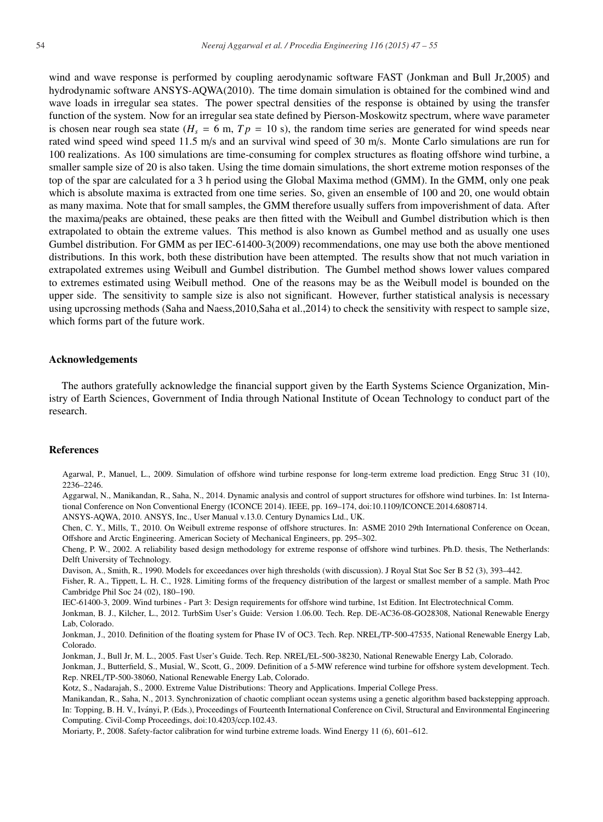wind and wave response is performed by coupling aerodynamic software FAST (Jonkman and Bull Jr,2005) and hydrodynamic software ANSYS-AQWA(2010). The time domain simulation is obtained for the combined wind and wave loads in irregular sea states. The power spectral densities of the response is obtained by using the transfer function of the system. Now for an irregular sea state defined by Pierson-Moskowitz spectrum, where wave parameter is chosen near rough sea state ( $H_s = 6$  m,  $T_p = 10$  s), the random time series are generated for wind speeds near rated wind speed wind speed 11.5 m/s and an survival wind speed of 30 m/s. Monte Carlo simulations are run for 100 realizations. As 100 simulations are time-consuming for complex structures as floating offshore wind turbine, a smaller sample size of 20 is also taken. Using the time domain simulations, the short extreme motion responses of the top of the spar are calculated fora3h period using the Global Maxima method (GMM). In the GMM, only one peak which is absolute maxima is extracted from one time series. So, given an ensemble of 100 and 20, one would obtain as many maxima. Note that for small samples, the GMM therefore usually suffers from impoverishment of data. After the maxima/peaks are obtained, these peaks are then fitted with the Weibull and Gumbel distribution which is then extrapolated to obtain the extreme values. This method is also known as Gumbel method and as usually one uses Gumbel distribution. For GMM as per IEC-61400-3(2009) recommendations, one may use both the above mentioned distributions. In this work, both these distribution have been attempted. The results show that not much variation in extrapolated extremes using Weibull and Gumbel distribution. The Gumbel method shows lower values compared to extremes estimated using Weibull method. One of the reasons may be as the Weibull model is bounded on the upper side. The sensitivity to sample size is also not significant. However, further statistical analysis is necessary using upcrossing methods (Saha and Naess,2010,Saha et al.,2014) to check the sensitivity with respect to sample size, which forms part of the future work.

#### Acknowledgements

The authors gratefully acknowledge the financial support given by the Earth Systems Science Organization, Ministry of Earth Sciences, Government of India through National Institute of Ocean Technology to conduct part of the research.

## References

Agarwal, P., Manuel, L., 2009. Simulation of offshore wind turbine response for long-term extreme load prediction. Engg Struc 31 (10), 2236–2246.

Aggarwal, N., Manikandan, R., Saha, N., 2014. Dynamic analysis and control of support structures for offshore wind turbines. In: 1st International Conference on Non Conventional Energy (ICONCE 2014). IEEE, pp. 169–174, doi:10.1109/ICONCE.2014.6808714.

ANSYS-AQWA, 2010. ANSYS, Inc., User Manual v.13.0. Century Dynamics Ltd., UK.

Chen, C. Y., Mills, T., 2010. On Weibull extreme response of offshore structures. In: ASME 2010 29th International Conference on Ocean, Offshore and Arctic Engineering. American Society of Mechanical Engineers, pp. 295–302.

Cheng, P. W., 2002. A reliability based design methodology for extreme response of offshore wind turbines. Ph.D. thesis, The Netherlands: Delft University of Technology.

Davison, A., Smith, R., 1990. Models for exceedances over high thresholds (with discussion). J Royal Stat Soc Ser B 52 (3), 393–442.

Fisher, R. A., Tippett, L. H. C., 1928. Limiting forms of the frequency distribution of the largest or smallest member of a sample. Math Proc Cambridge Phil Soc 24 (02), 180–190.

IEC-61400-3, 2009. Wind turbines - Part 3: Design requirements for offshore wind turbine, 1st Edition. Int Electrotechnical Comm.

Jonkman, B. J., Kilcher, L., 2012. TurbSim User's Guide: Version 1.06.00. Tech. Rep. DE-AC36-08-GO28308, National Renewable Energy Lab, Colorado.

Jonkman, J., 2010. Definition of the floating system for Phase IV of OC3. Tech. Rep. NREL/TP-500-47535, National Renewable Energy Lab, Colorado.

Jonkman, J., Bull Jr, M. L., 2005. Fast User's Guide. Tech. Rep. NREL/EL-500-38230, National Renewable Energy Lab, Colorado.

Jonkman, J., Butterfield, S., Musial, W., Scott, G., 2009. Definition of a 5-MW reference wind turbine for offshore system development. Tech. Rep. NREL/TP-500-38060, National Renewable Energy Lab, Colorado.

Kotz, S., Nadarajah, S., 2000. Extreme Value Distributions: Theory and Applications. Imperial College Press.

Manikandan, R., Saha, N., 2013. Synchronization of chaotic compliant ocean systems using a genetic algorithm based backstepping approach. In: Topping, B. H. V., Ivanyi, P. (Eds.), Proceedings of Fourteenth International Conference on Civil, Structural and Environmental Engineering ´ Computing. Civil-Comp Proceedings, doi:10.4203/ccp.102.43.

Moriarty, P., 2008. Safety-factor calibration for wind turbine extreme loads. Wind Energy 11 (6), 601–612.